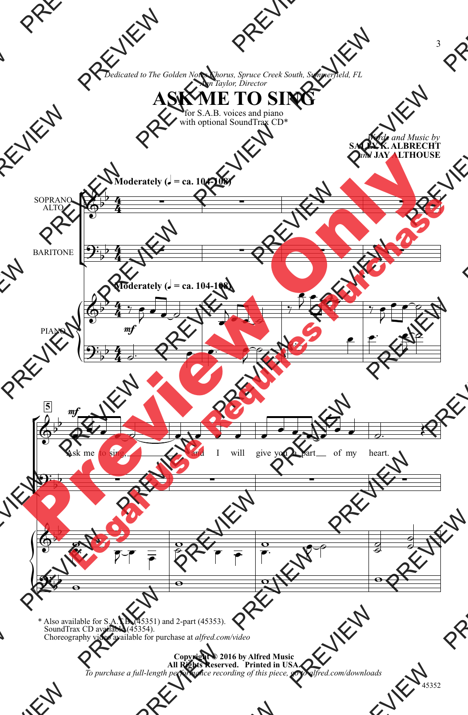*Dedicated to The Golden Notes Chorus, Spruce Creek South, Summerfield, FL Ann Taylor, Director*

## **ASK ME TO SING**

for S.A.B. voices and piano with optional SoundTrax CD\*

 $\mathsf{r}$ Ľ  $\left\{\begin{matrix} 1 \\ 1 \\ 2 \end{matrix}\right\}$  $\mathsf{K}$ Į  $\left\{\begin{matrix} 1 \\ 0 \\ 0 \end{matrix}\right\}$ **Moderately (** $\sqrt{ }$  **= ca. 104-108) Moderately (** $\sqrt{ }$  **= ca. 104-108) SALLY K. ALBRECHT** *and* **JAY ALTHOUSE** SOPRANO ALTO BARITONE PIANO **5** 4  $\frac{4}{4}$  $\overline{4}$  $\frac{4}{4}$ 4  $\frac{4}{4}$ 4  $\frac{4}{4}$  $\overline{\mathbb{Q}^{\flat}}$  $\frac{1}{2}$  $\mathbf{\mathcal{Y}}^{\mathbf{:}}_{\flat}$  $\frac{1}{2}$  . The set of  $\frac{1}{2}$  $\overline{\mathbb{Q}^{\flat}}$  $\mathbf{b}$  $\mathbf{\mathcal{Y}}_{\mathbf{\bar{y}}}$  $\overline{b}$ mf  $\overline{\mathbb{Q}^{\flat}}$  $\frac{1}{2}$ Ask me mf I will give you a part of my heart.  $2\frac{1}{2}$   $\Phi^{\cdot}$  $\frac{1}{2}$  $\mathbf{\mathcal{Y}}^{\mathbf{:}}_{\flat}$  $\overline{\mathbf{b}}$  $\frac{1}{\sqrt{2}}$  $\frac{1}{\sqrt{1-\frac{1}{\sqrt{1-\frac{1}{\sqrt{1-\frac{1}{\sqrt{1-\frac{1}{\sqrt{1-\frac{1}{\sqrt{1-\frac{1}{\sqrt{1-\frac{1}{\sqrt{1-\frac{1}{\sqrt{1-\frac{1}{\sqrt{1-\frac{1}{\sqrt{1-\frac{1}{\sqrt{1-\frac{1}{\sqrt{1-\frac{1}{\sqrt{1-\frac{1}{\sqrt{1-\frac{1}{\sqrt{1-\frac{1}{\sqrt{1-\frac{1}{\sqrt{1-\frac{1}{\sqrt{1-\frac{1}{\sqrt{1-\frac{1}{\sqrt{1-\frac{1}{\sqrt{1-\frac{1}{\sqrt{1-\frac{1}{\sqrt{1-\frac{1$  $\exists$ 人  $\overline{y}$  $\overline{\mathbf{f}}$  $\frac{1}{2}$  $\frac{1}{2}$ ₹  $\overline{\overline{\phantom{a}}\hspace{-0.5pt}}\hspace{0.2pt} \overline{\phantom{a}}\hspace{0.2pt} \overline{\phantom{a}}\hspace{0.2pt} \overline{\phantom{a}}\hspace{0.2pt} }$  $\overline{\phantom{a}}$  $\overline{\mathbf{z}}$  $\frac{1}{\rho}$   $\overline{2}$  $\overline{\rho}$  $\frac{1}{2}$   $\frac{1}{\sqrt{1-\frac{1}{\sqrt{1-\frac{1}{\sqrt{1-\frac{1}{\sqrt{1-\frac{1}{\sqrt{1-\frac{1}{\sqrt{1-\frac{1}{\sqrt{1-\frac{1}{\sqrt{1-\frac{1}{\sqrt{1-\frac{1}{\sqrt{1-\frac{1}{\sqrt{1-\frac{1}{\sqrt{1-\frac{1}{\sqrt{1-\frac{1}{\sqrt{1-\frac{1}{\sqrt{1-\frac{1}{\sqrt{1-\frac{1}{\sqrt{1-\frac{1}{\sqrt{1-\frac{1}{\sqrt{1-\frac{1}{\sqrt{1-\frac{1}{\sqrt{1-\frac{1}{\sqrt{1-\frac{1}{\sqrt{1-\frac{1}{\sqrt{1-\frac{1$  $\begin{array}{c|c}\n\hline\n\circ & \circ \\
\hline\n\circ & \bullet & \bullet\n\end{array}$  $\frac{1}{\sqrt{2}}$  $\overline{\mathcal{P}^{\varphi}}$   $\overline{\mathcal{P}}$  $\frac{1}{\alpha}$  $\frac{1}{\bullet}$  $\begin{array}{ccc} \circ & & \circ & \circ \\ \circ & & \circ & \end{array}$ Dedicated to The Golden Noter Chorus, Spruce Creek South<br>
ASK ME TO SIN:<br>
For S.A.B. voices and plane<br>
with optional SoundTrax CD<sup>\*</sup><br>
Moderately ( $J = ca$ , 104-108)<br>
SOPRANO<br>
PREVIEW PREVIEW PREVIEW PREVIEW PREVIEW PREVIEW P Dedicated to The Galden Nates Character<br>  $\Delta S K_{\text{D}} N_{\text{D}} = \sum_{\text{with of the original Sounded}} P_{\text{D}} P_{\text{D}}$ <br>
Moderately ( $J = \text{ca. 104-108}$ )<br>
SOPRANO<br>
BARITONE<br>
PREVIEW PREVIEW PREVIEW PREVIEW PREVIEW PREVIEW PREVIEW PREVIEW PREVIEW PREVIEW ASK ME TO SING<br>
Madernachy (c - ca. 104-110)<br>
Prediction (c - ca. 104-110)<br>
Prediction (c - ca. 104-110)<br>
Prediction (c - ca. 104-110)<br>
Prediction (c - ca. 104-110)<br>
Prediction (c - ca. 104-110)<br>
Prediction (c - ca. 104-11  $\begin{picture}(130,100) \put(0,0){\line(1,0){155}} \put(10,0){\line(1,0){155}} \put(10,0){\line(1,0){155}} \put(10,0){\line(1,0){155}} \put(10,0){\line(1,0){155}} \put(10,0){\line(1,0){155}} \put(10,0){\line(1,0){155}} \put(10,0){\line(1,0){155}} \put(10,0){\line(1,0){155}} \put(10,0){\line(1,0){155}} \put(10,0){\line(1,0){155$ ASK METOSING Material (1-2, 104, 10)<br>PREVIEW PREVIEW PREVIEW PREVIEW PREVIEW PREVIEW PREVIEW PREVIEW PREVIEW PREVIEW PREVIEW PREVIEW PREVIEW PREVIEW PREVIEW PREVIEW PREVIEW PREVIEW PREVIEW PREVIEW PREVIEW PREVIEW PREVIEW PREVIEW PREVIE PREVIEW PREVIEW PREVIEW PREVIEW PREVIEW PREVIEW PREVIEW PREVIEW PREVIEW PREVIEW PREVIEW PREVIEW PREVIEW PREVIEW PREVIEW PREVIEW PREVIEW PREVIEW PREVIEW PREVIEW PREVIEW PREVIEW PREVIEW PREVIEW PREVIEW PREVIEW PREVIEW PREVIE PREVIEW PREVIEW PREVIEW PREVIEW PREVIEW PREVIEW PREVIEW PREVIEW PREVIEW PREVIEW PREVIEW PREVIEW PREVIEW PREVIEW PREVIEW PREVIEW PREVIEW PREVIEW PREVIEW PREVIEW PREVIEW PREVIEW PREVIEW PREVIEW PREVIEW PREVIEW PREVIEW PREVIE PREVIEW PREVIEW PREVIEW PREVIEW PREVIEW PREVIEW PREVIEW PREVIEW PREVIEW PREVIEW PREVIEW PREVIEW PREVIEW PREVIEW PREVIEW PREVIEW PREVIEW PREVIEW PREVIEW PREVIEW PREVIEW PREVIEW PREVIEW PREVIEW PREVIEW PREVIEW PREVIEW PREVIE PREVIEW PREVIEW PREVIEW PREVIEW PREVIEW PREVIEW PREVIEW PREVIEW PREVIEW PREVIEW PREVIEW PREVIEW PREVIEW PREVIEW PREVIEW PREVIEW PREVIEW PREVIEW PREVIEW PREVIEW PREVIEW PREVIEW PREVIEW PREVIEW PREVIEW PREVIEW PREVIEW PREVI PREVIEW PREVIEW PREVIEW PREVIEW PREVIEW PREVIEW PREVIEW PREVIEW PREVIEW PREVIEW PREVIEW PREVIEW PREVIEW PREVIEW PREVIEW PREVIEW PREVIEW PREVIEW PREVIEW PREVIEW PREVIEW PREVIEW PREVIEW PREVIEW PREVIEW PREVIEW PREVIEW PREVI Moderately (J - ca. 104-109)<br>
Moderately (J - ca. 104-109)<br>
Preview Only (J - ca. 10-1109)<br>
Preview Only (J - ca. 10-1109)<br>
Preview Only (J - ca. 10-1109)<br>
Preview Only (J - ca. 10-1109)<br>
Preview Only (J - ca. 10-1109)<br>
Pr Republicance Control Control Control Control Control Control Control Control Control Control Control Control Control Control Control Control Control Control Control Control Control Control Control Control Control Control C

\* Also available for S.A.T.B. (45351) and 2-part (45353). SoundTrax CD available (45354). Choreography video available for purchase at *alfred.com/video*

> **Copyright © 2016 by Alfred Music All Rights Reserved. Printed in USA.** *To purchase a full-length performance recording of this piece, go to alfred.com/downloads*

*Words and Music by*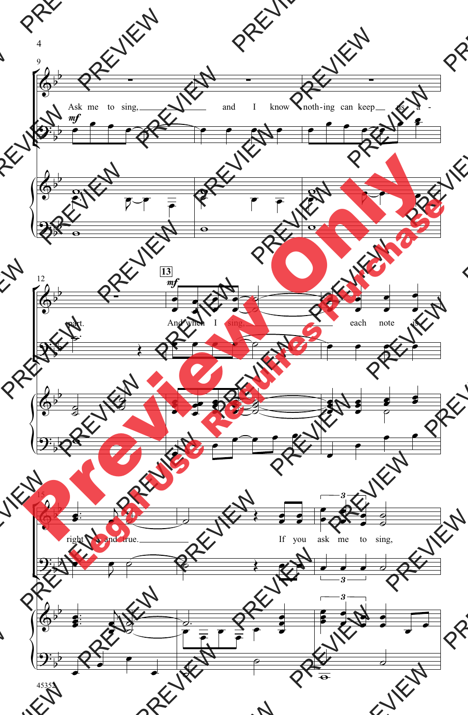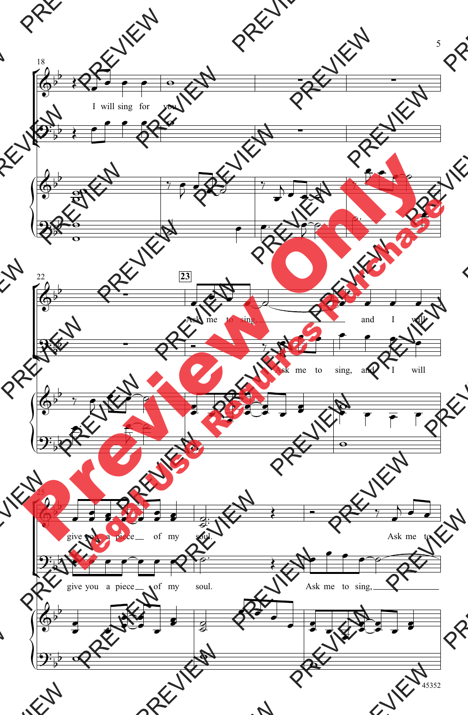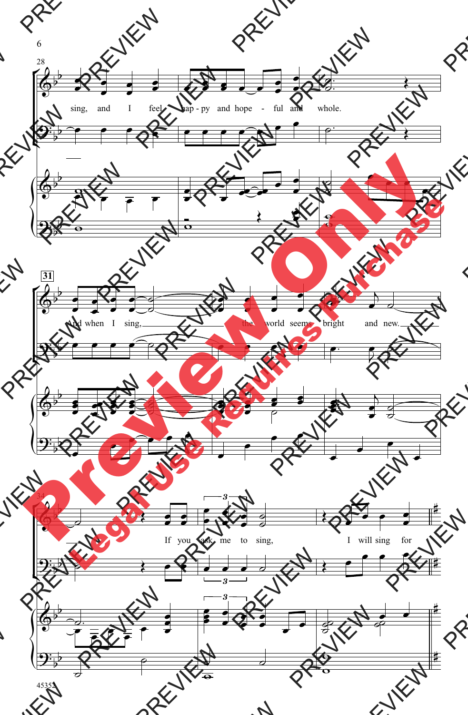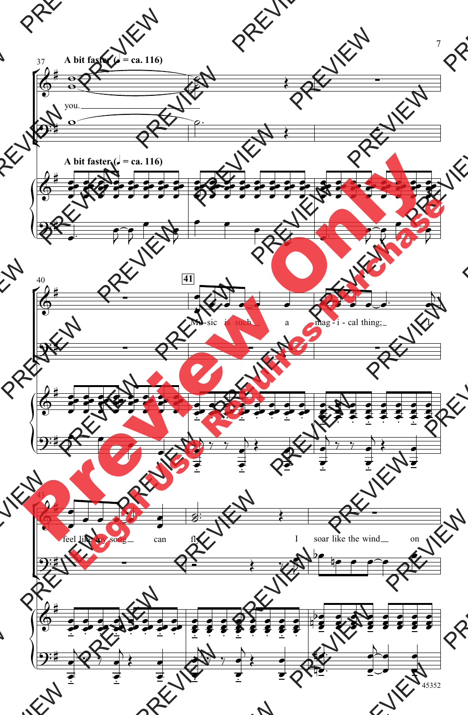

<sup>7</sup>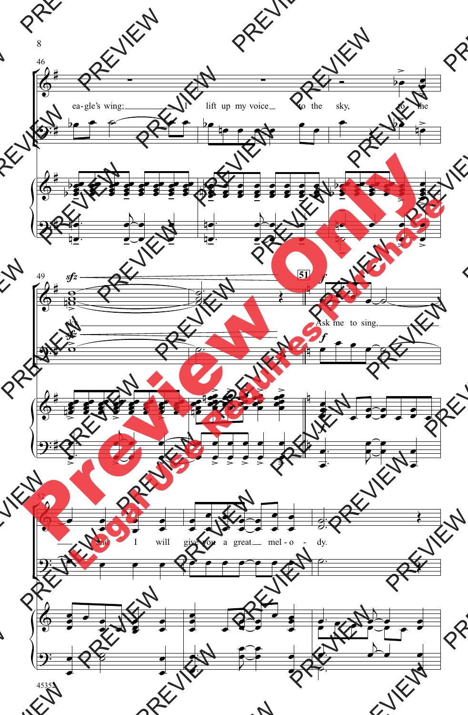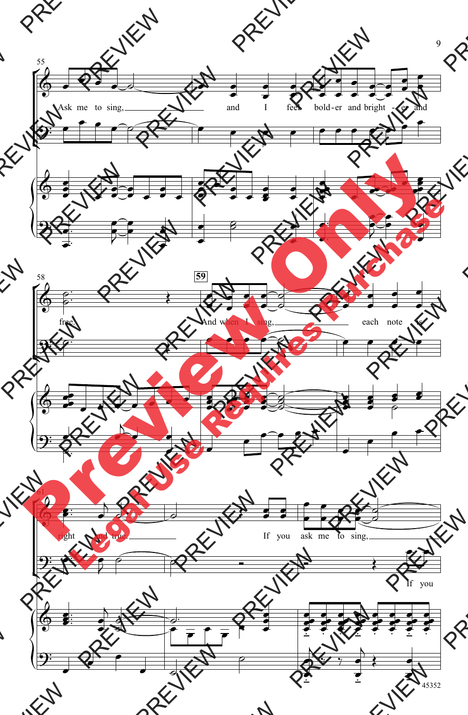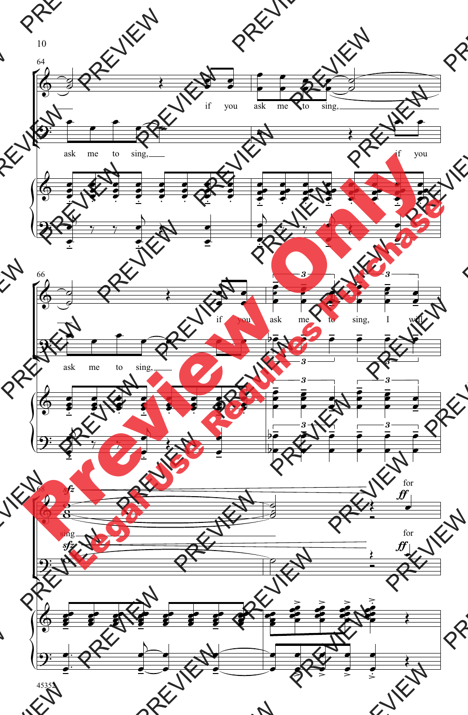